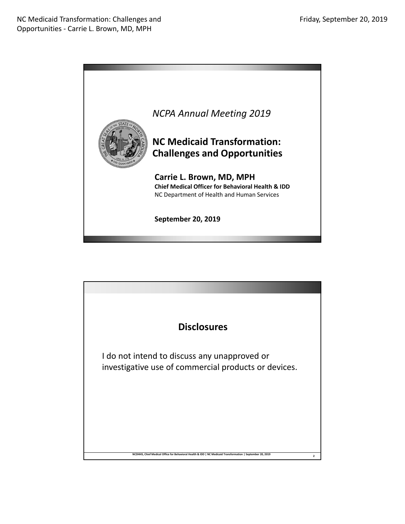

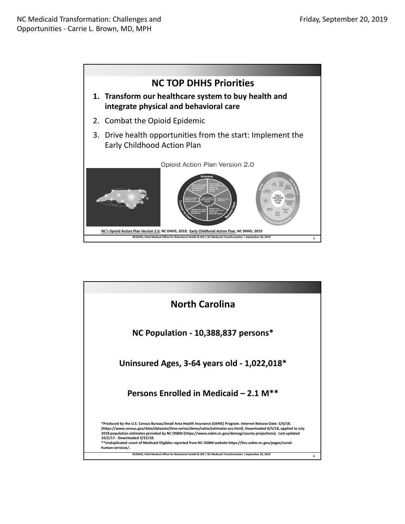

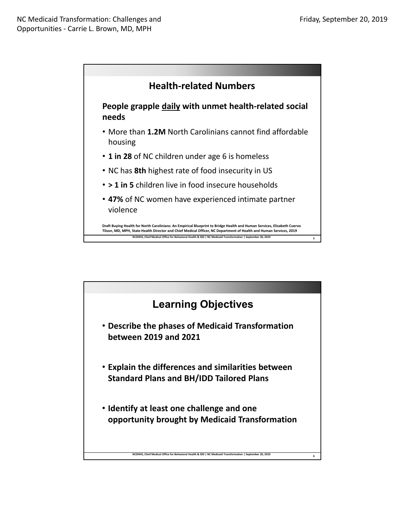

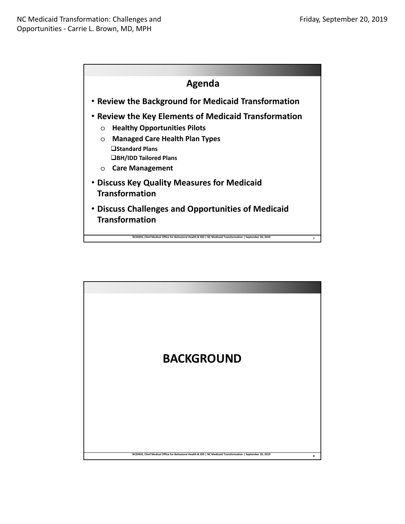

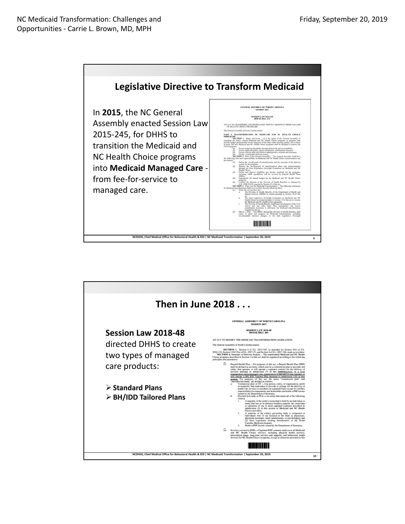

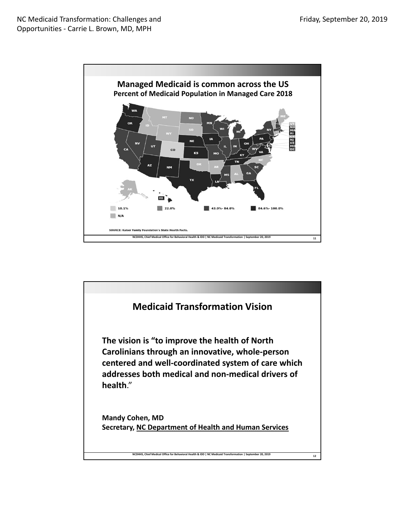

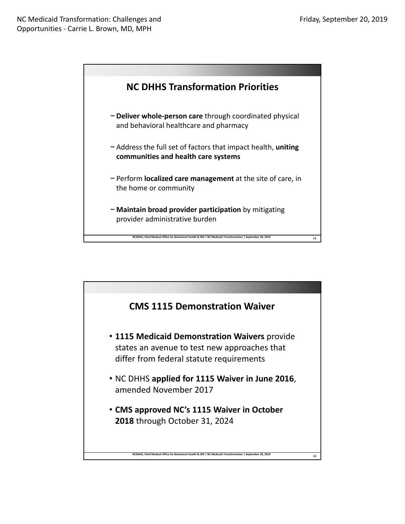

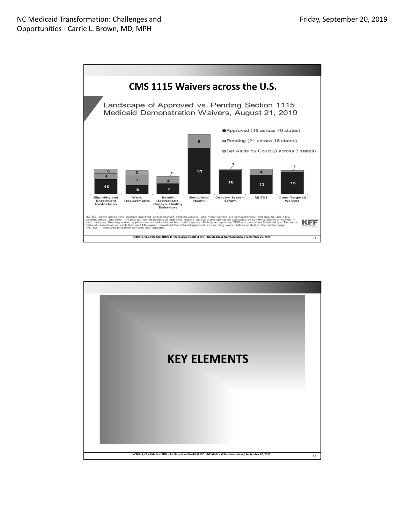

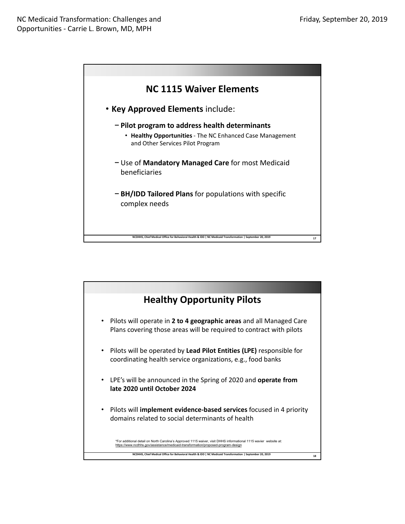

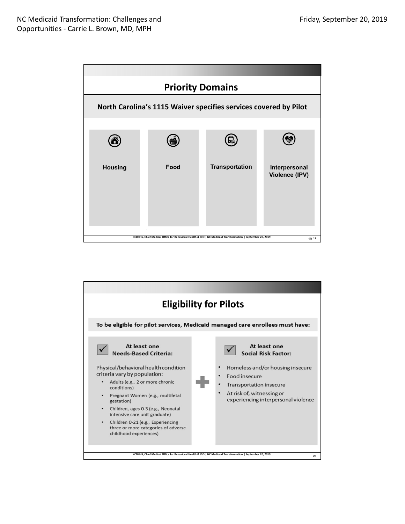

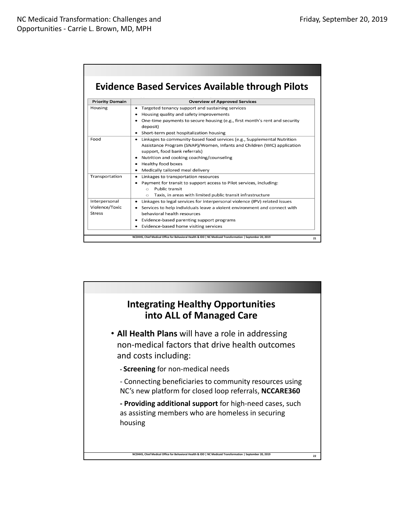## **Evidence Based Services Available through Pilots**

| <b>Priority Domain</b> | <b>Overview of Approved Services</b>                                                                       |
|------------------------|------------------------------------------------------------------------------------------------------------|
| Housing                | Targeted tenancy support and sustaining services<br>٠                                                      |
|                        | Housing quality and safety improvements<br>٠                                                               |
|                        | One-time payments to secure housing (e.g., first month's rent and security<br>deposit)                     |
|                        | Short-term post hospitalization housing                                                                    |
| Food                   | Linkages to community-based food services (e.g., Supplemental Nutrition<br>٠                               |
|                        | Assistance Program (SNAP)/Women, Infants and Children (WIC) application<br>support, food bank referrals)   |
|                        | Nutrition and cooking coaching/counseling                                                                  |
|                        | Healthy food boxes<br>٠                                                                                    |
|                        | Medically tailored meal delivery<br>٠                                                                      |
| Transportation         | Linkages to transportation resources<br>٠                                                                  |
|                        | Payment for transit to support access to Pilot services, including:<br>$\bullet$                           |
|                        | <b>Public transit</b><br>$\bigcirc$                                                                        |
|                        | Taxis, in areas with limited public transit infrastructure<br>$\circ$                                      |
| Interpersonal          | Linkages to legal services for interpersonal violence (IPV) related issues                                 |
| Violence/Toxic         | Services to help individuals leave a violent environment and connect with                                  |
| <b>Stress</b>          | behavioral health resources                                                                                |
|                        | Evidence-based parenting support programs<br>٠                                                             |
|                        | Evidence-based home visiting services<br>٠                                                                 |
|                        |                                                                                                            |
|                        | NCDHHS, Chief Medical Office for Behavioral Health & IDD   NC Medicaid Transformation   September 20, 2019 |

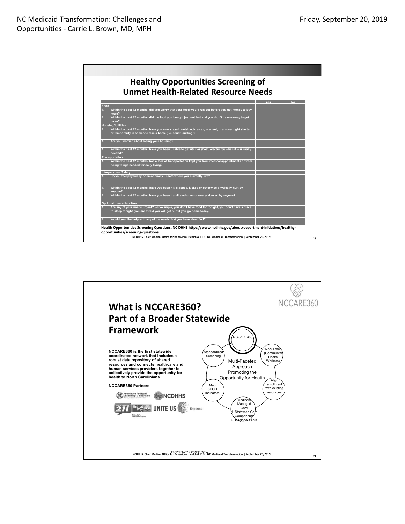

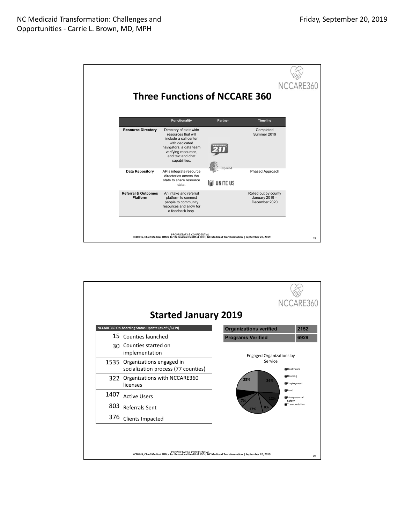|                                                   | <b>Three Functions of NCCARE 360</b>                                                                                                                                              |                      |                                                         | NCCARE360 |
|---------------------------------------------------|-----------------------------------------------------------------------------------------------------------------------------------------------------------------------------------|----------------------|---------------------------------------------------------|-----------|
|                                                   | <b>Functionality</b>                                                                                                                                                              | <b>Partner</b>       | <b>Timeline</b>                                         |           |
| <b>Resource Directory</b>                         | Directory of statewide<br>resources that will<br>include a call center<br>with dedicated<br>navigators, a data team<br>verifying resources,<br>and text and chat<br>capabilities. | Expound              | Completed<br>Summer 2019                                |           |
| <b>Data Repository</b>                            | APIs integrate resource<br>directories across the<br>state to share resource<br>data.                                                                                             | <b>I'll unite us</b> | Phased Approach                                         |           |
| <b>Referral &amp; Outcomes</b><br><b>Platform</b> | An intake and referral<br>platform to connect<br>people to community<br>resources and allow for<br>a feedback loop.                                                               |                      | Rolled out by county<br>January 2019 -<br>December 2020 |           |
|                                                   | PROPRIETARY & CONFIDENTIAL<br>NCDHHS, Chief Medical Office for Behavioral Health & IDD   NC Medicaid Transformation   September 20, 2019                                          |                      |                                                         | 25        |

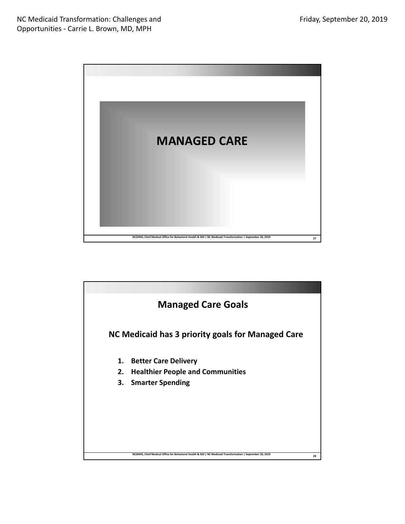

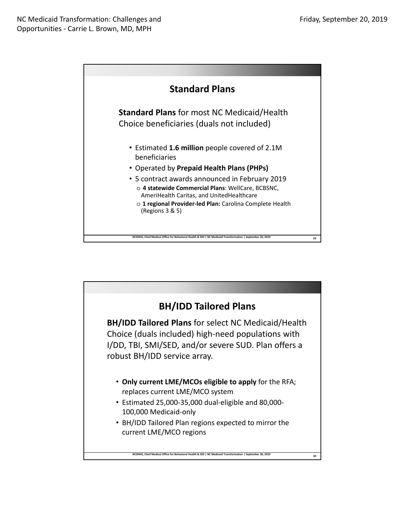

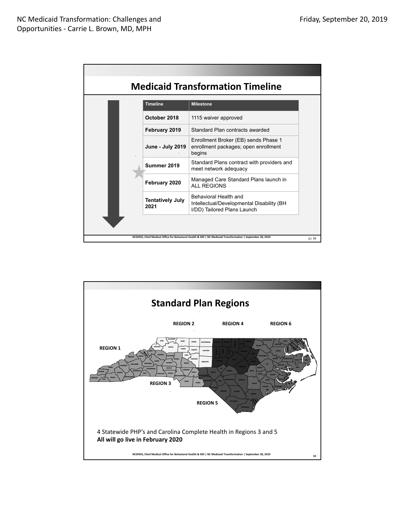Г

| Timeline                        | <b>Milestone</b>                                                                                         |
|---------------------------------|----------------------------------------------------------------------------------------------------------|
| October 2018                    | 1115 waiver approved                                                                                     |
| February 2019                   | Standard Plan contracts awarded                                                                          |
| <b>June - July 2019</b>         | Enrollment Broker (EB) sends Phase 1<br>enrollment packages; open enrollment<br>begins                   |
| Summer 2019                     | Standard Plans contract with providers and<br>meet network adequacy                                      |
| February 2020                   | Managed Care Standard Plans launch in<br>ALL REGIONS                                                     |
| <b>Tentatively July</b><br>2021 | <b>Behavioral Health and</b><br>Intellectual/Developmental Disability (BH<br>I/DD) Tailored Plans Launch |

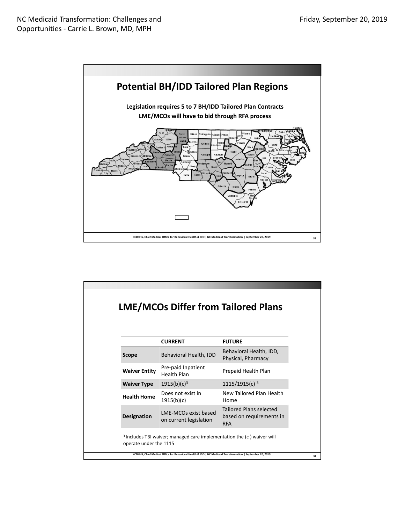

|                        |                                                                                                            | <b>LME/MCOs Differ from Tailored Plans</b>                               |
|------------------------|------------------------------------------------------------------------------------------------------------|--------------------------------------------------------------------------|
|                        | <b>CURRENT</b>                                                                                             | <b>FUTURE</b>                                                            |
| <b>Scope</b>           | Behavioral Health, IDD                                                                                     | Behavioral Health, IDD,<br>Physical, Pharmacy                            |
| <b>Waiver Entity</b>   | Pre-paid Inpatient<br>Health Plan                                                                          | Prepaid Health Plan                                                      |
| <b>Waiver Type</b>     | 1915(b)(c) <sup>3</sup>                                                                                    | $1115/1915(c)$ <sup>3</sup>                                              |
| <b>Health Home</b>     | Does not exist in<br>1915(b)(c)                                                                            | New Tailored Plan Health<br>Home                                         |
| <b>Designation</b>     | <b>IME-MCOs exist based</b><br>on current legislation                                                      | <b>Tailored Plans selected</b><br>based on requirements in<br><b>RFA</b> |
| operate under the 1115 | <sup>3</sup> Includes TBI waiver; managed care implementation the (c) waiver will                          |                                                                          |
|                        | NCDHHS, Chief Medical Office for Behavioral Health & IDD   NC Medicaid Transformation   September 20, 2019 |                                                                          |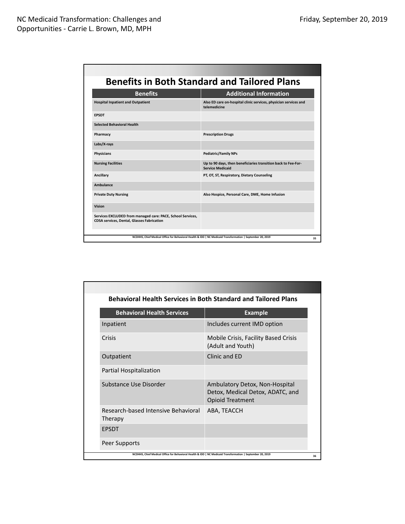|                                                                                                           | <b>Benefits in Both Standard and Tailored Plans</b>                                                        |  |
|-----------------------------------------------------------------------------------------------------------|------------------------------------------------------------------------------------------------------------|--|
| <b>Benefits</b>                                                                                           | <b>Additional Information</b>                                                                              |  |
| <b>Hospital Inpatient and Outpatient</b>                                                                  | Also ED care on-hospital clinic services, physician services and<br>telemedicine                           |  |
| <b>EPSDT</b>                                                                                              |                                                                                                            |  |
| <b>Selected Behavioral Health</b>                                                                         |                                                                                                            |  |
| Pharmacy                                                                                                  | <b>Prescription Drugs</b>                                                                                  |  |
| Labs/X-rays                                                                                               |                                                                                                            |  |
| Physicians                                                                                                | <b>Pediatric/Family NPs</b>                                                                                |  |
| <b>Nursing Facilities</b>                                                                                 | Up to 90 days, then beneficiaries transition back to Fee-For-<br><b>Service Medicaid</b>                   |  |
| Ancillary                                                                                                 | PT, OT, ST, Respiratory, Dietary Counseling                                                                |  |
| <b>Ambulance</b>                                                                                          |                                                                                                            |  |
| <b>Private Duty Nursing</b>                                                                               | Also Hospice, Personal Care, DME, Home Infusion                                                            |  |
| Vision                                                                                                    |                                                                                                            |  |
| Services EXCLUDED from managed care: PACE, School Services,<br>CDSA services, Dental, Glasses Fabrication |                                                                                                            |  |
|                                                                                                           | NCDHHS, Chief Medical Office for Behavioral Health & IDD   NC Medicaid Transformation   September 20, 2019 |  |

| <b>Behavioral Health Services in Both Standard and Tailored Plans</b>                                      |                                                                                               |  |
|------------------------------------------------------------------------------------------------------------|-----------------------------------------------------------------------------------------------|--|
| <b>Behavioral Health Services</b>                                                                          | <b>Example</b>                                                                                |  |
| Inpatient                                                                                                  | Includes current IMD option                                                                   |  |
| Crisis                                                                                                     | Mobile Crisis, Facility Based Crisis<br>(Adult and Youth)                                     |  |
| Outpatient                                                                                                 | Clinic and ED                                                                                 |  |
| Partial Hospitalization                                                                                    |                                                                                               |  |
| Substance Use Disorder                                                                                     | Ambulatory Detox, Non-Hospital<br>Detox, Medical Detox, ADATC, and<br><b>Opioid Treatment</b> |  |
| Research-based Intensive Behavioral<br>Therapy                                                             | ABA, TEACCH                                                                                   |  |
| <b>EPSDT</b>                                                                                               |                                                                                               |  |
| Peer Supports                                                                                              |                                                                                               |  |
| NCDHHS, Chief Medical Office for Behavioral Health & IDD   NC Medicaid Transformation   September 20, 2019 |                                                                                               |  |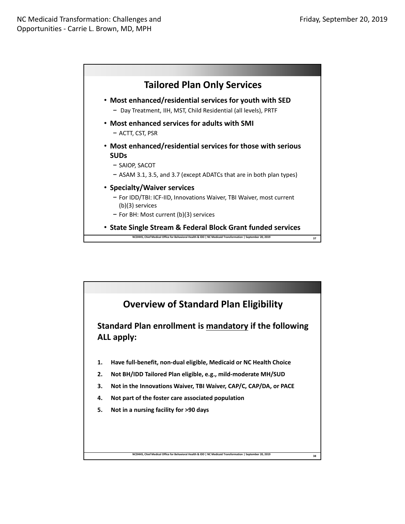

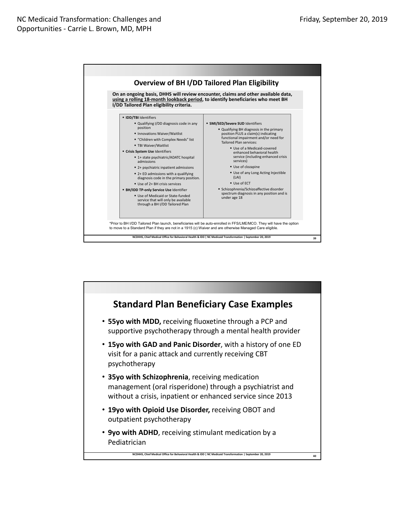

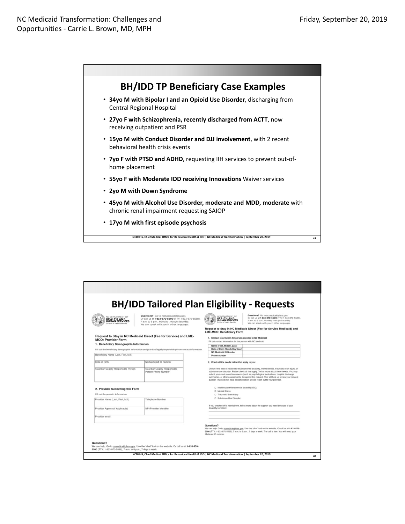

| DEPARTMENT OF<br><b>EALTH AND</b><br><b>IUMAN SERVICES</b>                                                    | Questions? Go to ncmedicaidplans.gov.<br>Or call us at 1-833-870-5500 (TTY: 1-833-870-5588).<br>7 a.m. to 5 p.m., Monday through Saturday. | <b>BH/IDD Tailored Plan Eligibility - Requests</b><br>Questions? Go to nomedicaldplans.gov.<br>NC DEPARTMENT OF<br>Or call us at 1-833-870-5500 (TTY: 1-833-870-5588).<br>HEALTH AND<br>7 a.m. to 5 p.m., Monday through Saturday.                                                                                                                                                                                                                                                    |
|---------------------------------------------------------------------------------------------------------------|--------------------------------------------------------------------------------------------------------------------------------------------|---------------------------------------------------------------------------------------------------------------------------------------------------------------------------------------------------------------------------------------------------------------------------------------------------------------------------------------------------------------------------------------------------------------------------------------------------------------------------------------|
| ision of Health Benefits                                                                                      | We can speak with you in other languages.                                                                                                  | We can speak with you in other languages.<br>Request to Stay in NC Medicaid Direct (Fee-for Service Medicaid) and<br><b>LME-MCO: Beneficiary Form</b>                                                                                                                                                                                                                                                                                                                                 |
| <b>MCO: Provider Form</b>                                                                                     | Request to Stay in NC Medicaid Direct (Fee for Service) and LME-                                                                           | 1. Contact information for person enrolled in NC Medicaid                                                                                                                                                                                                                                                                                                                                                                                                                             |
| 1. Beneficiary Demographic Information                                                                        |                                                                                                                                            | Fill out contact information for the person with NC Medicaid                                                                                                                                                                                                                                                                                                                                                                                                                          |
|                                                                                                               |                                                                                                                                            | Name (First, Middle, Last)<br>Date of Birth (Month/Day/Year)                                                                                                                                                                                                                                                                                                                                                                                                                          |
| Fill out the beneficiary demographic information and guardian/legally responsible person contact information. |                                                                                                                                            | <b>NC Medicaid ID Number</b>                                                                                                                                                                                                                                                                                                                                                                                                                                                          |
| Beneficiary Name (Last, First, M.I.)                                                                          |                                                                                                                                            | Phone number                                                                                                                                                                                                                                                                                                                                                                                                                                                                          |
| Date of Birth                                                                                                 | NC Medicaid ID Number                                                                                                                      | 2. Check all the needs below that apply to you:                                                                                                                                                                                                                                                                                                                                                                                                                                       |
| Guardian/Legally Responsible Person                                                                           | Guardian/Legally Responsible<br>Person Phone Number                                                                                        | Check if the need is related to developmental disability, mental illness, traumatic brain injury, or<br>substance use disorder. Please check all that apply. Tell us more about these needs. You may<br>submit your most recent documents (such as psychological evaluations, hospital discharge<br>summaries, or other assessments) to support this request. This will help us review your request<br>quicker. If you do not have documentation, we will reach out to your provider. |
| 2. Provider Submitting this Form                                                                              |                                                                                                                                            | □ Intellectual/developmental disability (I/DD)                                                                                                                                                                                                                                                                                                                                                                                                                                        |
|                                                                                                               |                                                                                                                                            | C Mental Illness                                                                                                                                                                                                                                                                                                                                                                                                                                                                      |
| Fill out the provider information                                                                             |                                                                                                                                            | C Traumatic Brain Injury                                                                                                                                                                                                                                                                                                                                                                                                                                                              |
| Provider Name (Last, First, M.I.)                                                                             | Telephone Number                                                                                                                           | C Substance Use Disorder                                                                                                                                                                                                                                                                                                                                                                                                                                                              |
| Provider Agency (if Applicable)                                                                               | NPI/Provider Identifier                                                                                                                    | If you checked off a need above, tell us more about the support you need because of your<br>disability/condition:                                                                                                                                                                                                                                                                                                                                                                     |
| Provider email                                                                                                |                                                                                                                                            |                                                                                                                                                                                                                                                                                                                                                                                                                                                                                       |
|                                                                                                               |                                                                                                                                            | Questions?<br>We can help. Go to nomedicaldplans.gov. Use the "chat" tool on the website. Or call us at 1-833-870-<br>5500 (TTY: 1-833-870-5588), 7 a.m. to 8 p.m., 7 days a week. The call is free. You will need your<br>Medicaid ID number.                                                                                                                                                                                                                                        |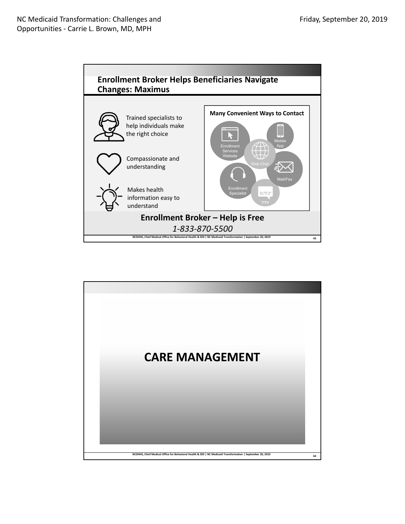

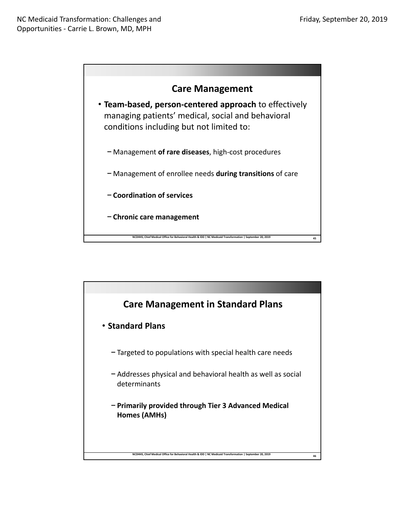

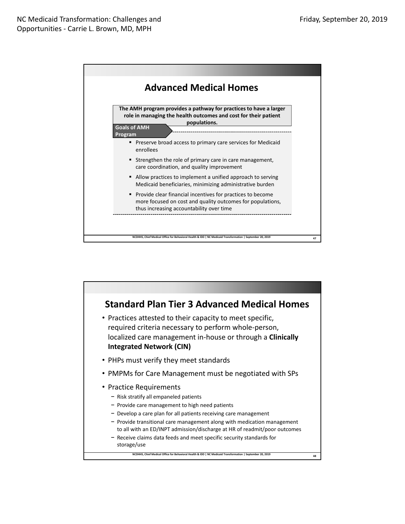

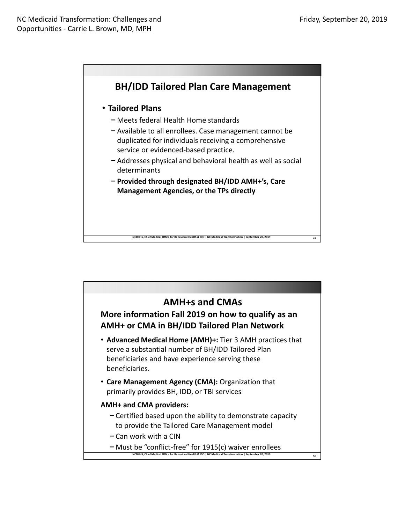

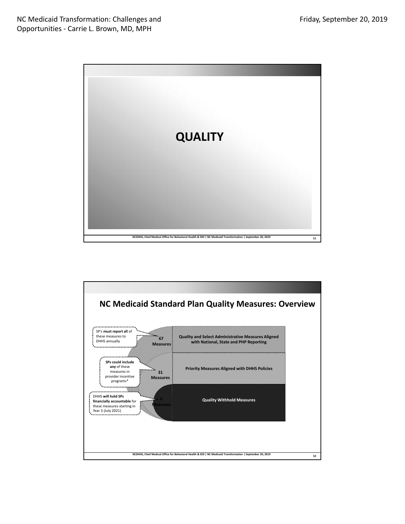

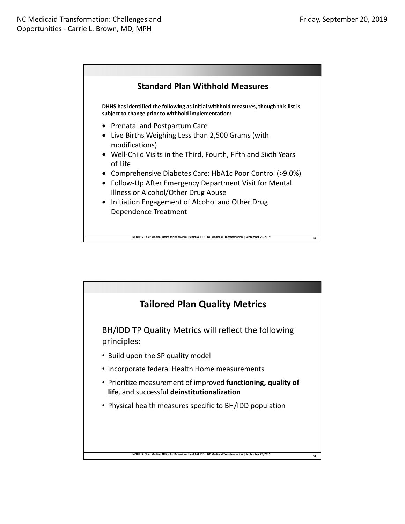

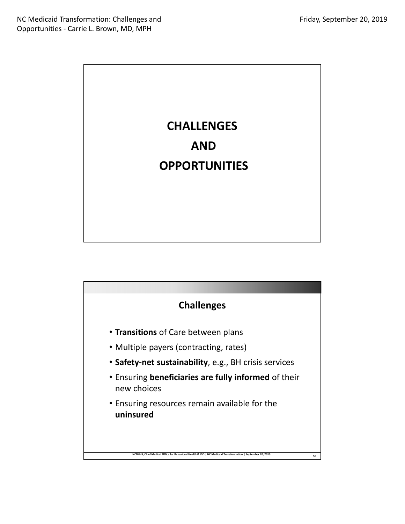

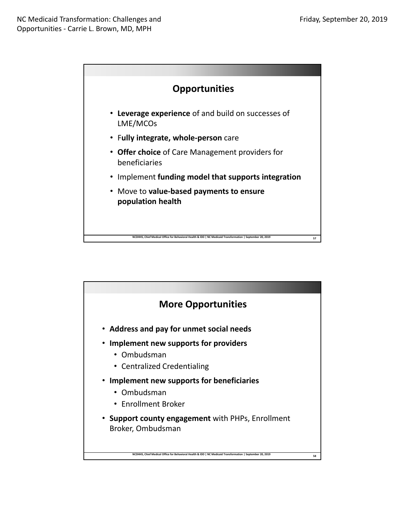